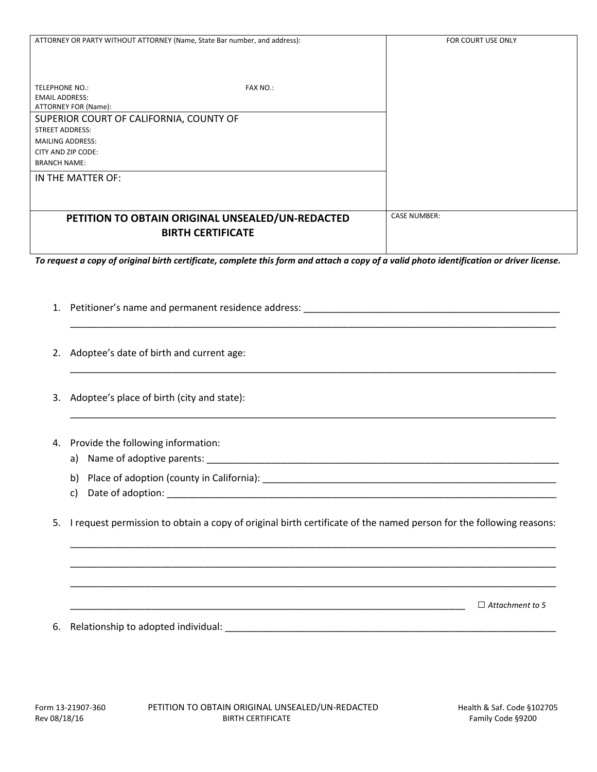| ATTORNEY OR PARTY WITHOUT ATTORNEY (Name, State Bar number, and address):                                                                | FOR COURT USE ONLY  |
|------------------------------------------------------------------------------------------------------------------------------------------|---------------------|
|                                                                                                                                          |                     |
|                                                                                                                                          |                     |
|                                                                                                                                          |                     |
|                                                                                                                                          |                     |
| <b>TELEPHONE NO.:</b><br><b>FAX NO.:</b>                                                                                                 |                     |
| <b>EMAIL ADDRESS:</b>                                                                                                                    |                     |
| ATTORNEY FOR (Name):                                                                                                                     |                     |
| SUPERIOR COURT OF CALIFORNIA, COUNTY OF                                                                                                  |                     |
| <b>STREET ADDRESS:</b>                                                                                                                   |                     |
| <b>MAILING ADDRESS:</b>                                                                                                                  |                     |
| CITY AND ZIP CODE:                                                                                                                       |                     |
| <b>BRANCH NAME:</b>                                                                                                                      |                     |
| IN THE MATTER OF:                                                                                                                        |                     |
|                                                                                                                                          |                     |
|                                                                                                                                          |                     |
| PETITION TO OBTAIN ORIGINAL UNSEALED/UN-REDACTED                                                                                         | <b>CASE NUMBER:</b> |
| <b>BIRTH CERTIFICATE</b>                                                                                                                 |                     |
|                                                                                                                                          |                     |
|                                                                                                                                          |                     |
| To request a copy of original birth certificate, complete this form and attach a copy of a valid photo identification or driver license. |                     |
|                                                                                                                                          |                     |
|                                                                                                                                          |                     |

\_\_\_\_\_\_\_\_\_\_\_\_\_\_\_\_\_\_\_\_\_\_\_\_\_\_\_\_\_\_\_\_\_\_\_\_\_\_\_\_\_\_\_\_\_\_\_\_\_\_\_\_\_\_\_\_\_\_\_\_\_\_\_\_\_\_\_\_\_\_\_\_\_\_\_\_\_\_\_\_\_\_\_\_\_\_\_\_\_\_\_

\_\_\_\_\_\_\_\_\_\_\_\_\_\_\_\_\_\_\_\_\_\_\_\_\_\_\_\_\_\_\_\_\_\_\_\_\_\_\_\_\_\_\_\_\_\_\_\_\_\_\_\_\_\_\_\_\_\_\_\_\_\_\_\_\_\_\_\_\_\_\_\_\_\_\_\_\_\_\_\_\_\_\_\_\_\_\_\_\_\_\_

\_\_\_\_\_\_\_\_\_\_\_\_\_\_\_\_\_\_\_\_\_\_\_\_\_\_\_\_\_\_\_\_\_\_\_\_\_\_\_\_\_\_\_\_\_\_\_\_\_\_\_\_\_\_\_\_\_\_\_\_\_\_\_\_\_\_\_\_\_\_\_\_\_\_\_\_\_\_\_\_\_\_\_\_\_\_\_\_\_\_\_

- 1. Petitioner's name and permanent residence address: \_\_\_\_\_\_\_\_\_\_\_\_\_\_\_\_\_\_\_\_\_\_\_\_\_\_\_\_\_\_\_\_\_\_\_\_\_\_\_\_\_\_\_\_\_\_\_\_
- 2. Adoptee's date of birth and current age:
- 3. Adoptee's place of birth (city and state):
- 4. Provide the following information:
	- a) Name of adoptive parents: \_\_\_\_\_\_\_\_\_\_\_\_\_\_\_\_\_\_\_\_\_\_\_\_\_\_\_\_\_\_\_\_\_\_\_\_\_\_\_\_\_\_\_\_\_\_\_\_\_\_\_\_\_\_\_\_\_\_\_\_\_\_\_\_\_\_
	- b) Place of adoption (county in California):
	- c) Date of adoption: \_\_\_\_\_\_\_\_\_\_\_\_\_\_\_\_\_\_\_\_\_\_\_\_\_\_\_\_\_\_\_\_\_\_\_\_\_\_\_\_\_\_\_\_\_\_\_\_\_\_\_\_\_\_\_\_\_\_\_\_\_\_\_\_\_\_\_\_\_\_\_\_\_
- 5. I request permission to obtain a copy of original birth certificate of the named person for the following reasons:

\_\_\_\_\_\_\_\_\_\_\_\_\_\_\_\_\_\_\_\_\_\_\_\_\_\_\_\_\_\_\_\_\_\_\_\_\_\_\_\_\_\_\_\_\_\_\_\_\_\_\_\_\_\_\_\_\_\_\_\_\_\_\_\_\_\_\_\_\_\_\_\_\_\_\_\_\_\_\_\_\_\_\_\_\_\_\_\_\_\_\_

\_\_\_\_\_\_\_\_\_\_\_\_\_\_\_\_\_\_\_\_\_\_\_\_\_\_\_\_\_\_\_\_\_\_\_\_\_\_\_\_\_\_\_\_\_\_\_\_\_\_\_\_\_\_\_\_\_\_\_\_\_\_\_\_\_\_\_\_\_\_\_\_\_\_\_\_\_\_\_\_\_\_\_\_\_\_\_\_\_\_\_

\_\_\_\_\_\_\_\_\_\_\_\_\_\_\_\_\_\_\_\_\_\_\_\_\_\_\_\_\_\_\_\_\_\_\_\_\_\_\_\_\_\_\_\_\_\_\_\_\_\_\_\_\_\_\_\_\_\_\_\_\_\_\_\_\_\_\_\_\_\_\_\_\_\_\_\_\_\_\_\_\_\_\_\_\_\_\_\_\_\_\_

\_\_\_\_\_\_\_\_\_\_\_\_\_\_\_\_\_\_\_\_\_\_\_\_\_\_\_\_\_\_\_\_\_\_\_\_\_\_\_\_\_\_\_\_\_\_\_\_\_\_\_\_\_\_\_\_\_\_\_\_\_\_\_\_\_\_\_\_\_\_\_\_\_\_ □ *Attachment to 5*

6. Relationship to adopted individual: \_\_\_\_\_\_\_\_\_\_\_\_\_\_\_\_\_\_\_\_\_\_\_\_\_\_\_\_\_\_\_\_\_\_\_\_\_\_\_\_\_\_\_\_\_\_\_\_\_\_\_\_\_\_\_\_\_\_\_\_\_\_